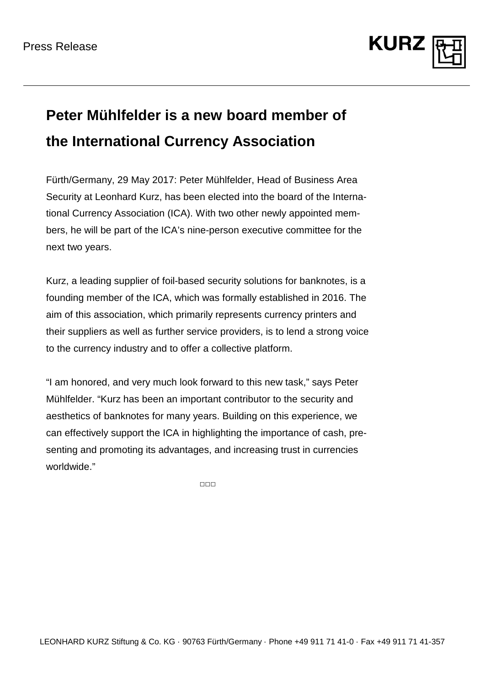

## **Peter Mühlfelder is a new board member of the International Currency Association**

Fürth/Germany, 29 May 2017: Peter Mühlfelder, Head of Business Area Security at Leonhard Kurz, has been elected into the board of the International Currency Association (ICA). With two other newly appointed members, he will be part of the ICA's nine-person executive committee for the next two years.

Kurz, a leading supplier of foil-based security solutions for banknotes, is a founding member of the ICA, which was formally established in 2016. The aim of this association, which primarily represents currency printers and their suppliers as well as further service providers, is to lend a strong voice to the currency industry and to offer a collective platform.

"I am honored, and very much look forward to this new task," says Peter Mühlfelder. "Kurz has been an important contributor to the security and aesthetics of banknotes for many years. Building on this experience, we can effectively support the ICA in highlighting the importance of cash, presenting and promoting its advantages, and increasing trust in currencies worldwide."

□□□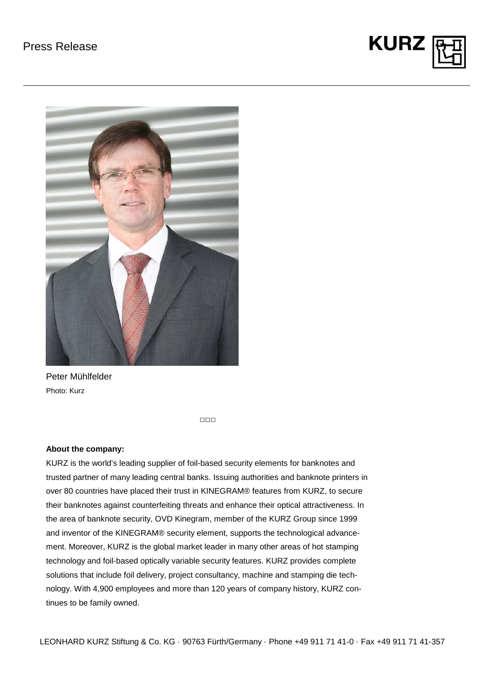



Peter Mühlfelder Photo: Kurz

□□□

## **About the company:**

KURZ is the world's leading supplier of foil-based security elements for banknotes and trusted partner of many leading central banks. Issuing authorities and banknote printers in over 80 countries have placed their trust in KINEGRAM® features from KURZ, to secure their banknotes against counterfeiting threats and enhance their optical attractiveness. In the area of banknote security, OVD Kinegram, member of the KURZ Group since 1999 and inventor of the KINEGRAM® security element, supports the technological advancement. Moreover, KURZ is the global market leader in many other areas of hot stamping technology and foil-based optically variable security features. KURZ provides complete solutions that include foil delivery, project consultancy, machine and stamping die technology. With 4,900 employees and more than 120 years of company history, KURZ continues to be family owned.